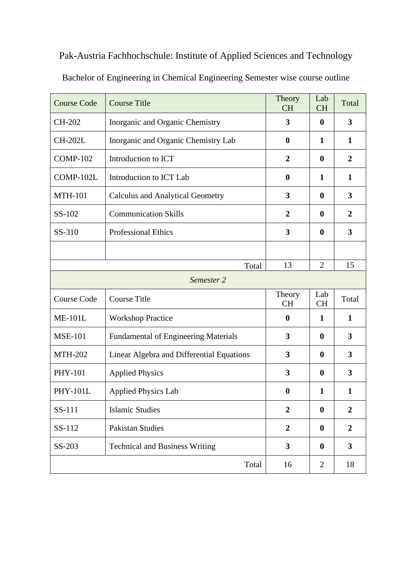## Pak-Austria Fachhochschule: Institute of Applied Sciences and Technology

| <b>Course Code</b> | <b>Course Title</b>                         | Theory<br><b>CH</b> | Lab<br><b>CH</b> | Total            |
|--------------------|---------------------------------------------|---------------------|------------------|------------------|
| CH-202             | Inorganic and Organic Chemistry             | 3                   | $\boldsymbol{0}$ | 3                |
| <b>CH-202L</b>     | Inorganic and Organic Chemistry Lab         | $\boldsymbol{0}$    | 1                | 1                |
| <b>COMP-102</b>    | Introduction to ICT                         | $\overline{2}$      | $\boldsymbol{0}$ | $\overline{2}$   |
| COMP-102L          | Introduction to ICT Lab                     | $\boldsymbol{0}$    | 1                | $\mathbf{1}$     |
| <b>MTH-101</b>     | <b>Calculus and Analytical Geometry</b>     | 3                   | $\bf{0}$         | 3                |
| SS-102             | <b>Communication Skills</b>                 | $\overline{2}$      | $\bf{0}$         | $\overline{2}$   |
| SS-310             | <b>Professional Ethics</b>                  | 3                   | $\boldsymbol{0}$ | 3                |
|                    |                                             |                     |                  |                  |
|                    | Total                                       | 13                  | $\overline{2}$   | 15               |
| Semester 2         |                                             |                     |                  |                  |
| <b>Course Code</b> | <b>Course Title</b>                         | Theory<br><b>CH</b> | Lab<br><b>CH</b> | Total            |
| <b>ME-101L</b>     | <b>Workshop Practice</b>                    | $\boldsymbol{0}$    | 1                | $\mathbf{1}$     |
| <b>MSE-101</b>     | <b>Fundamental of Engineering Materials</b> | 3                   | $\boldsymbol{0}$ | 3                |
| <b>MTH-202</b>     | Linear Algebra and Differential Equations   | 3                   | $\boldsymbol{0}$ | 3                |
| <b>PHY-101</b>     | <b>Applied Physics</b>                      | 3                   | $\boldsymbol{0}$ | 3                |
| <b>PHY-101L</b>    | <b>Applied Physics Lab</b>                  | $\boldsymbol{0}$    | 1                | 1                |
|                    |                                             |                     |                  |                  |
| SS-111             | <b>Islamic Studies</b>                      | $\boldsymbol{2}$    | $\boldsymbol{0}$ | $\boldsymbol{2}$ |
| SS-112             | <b>Pakistan Studies</b>                     | $\overline{2}$      | $\boldsymbol{0}$ | $\overline{2}$   |
| SS-203             | <b>Technical and Business Writing</b>       | 3                   | $\boldsymbol{0}$ | $\mathbf{3}$     |

Bachelor of Engineering in Chemical Engineering Semester wise course outline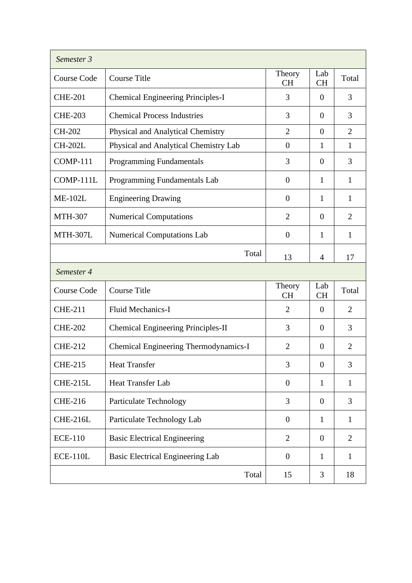| Semester 3         |                                          |                     |                  |                |
|--------------------|------------------------------------------|---------------------|------------------|----------------|
| <b>Course Code</b> | <b>Course Title</b>                      | Theory<br><b>CH</b> | Lab<br><b>CH</b> | Total          |
| <b>CHE-201</b>     | <b>Chemical Engineering Principles-I</b> | 3                   | $\theta$         | 3              |
| <b>CHE-203</b>     | <b>Chemical Process Industries</b>       | 3                   | $\overline{0}$   | 3              |
| CH-202             | Physical and Analytical Chemistry        | $\overline{2}$      | $\overline{0}$   | $\overline{2}$ |
| <b>CH-202L</b>     | Physical and Analytical Chemistry Lab    | $\overline{0}$      | 1                | 1              |
| <b>COMP-111</b>    | <b>Programming Fundamentals</b>          | 3                   | $\overline{0}$   | 3              |
| COMP-111L          | Programming Fundamentals Lab             | $\boldsymbol{0}$    | 1                | $\mathbf{1}$   |
| <b>ME-102L</b>     | <b>Engineering Drawing</b>               | $\overline{0}$      | 1                | 1              |
| <b>MTH-307</b>     | <b>Numerical Computations</b>            | $\overline{2}$      | $\overline{0}$   | $\overline{2}$ |
| <b>MTH-307L</b>    | <b>Numerical Computations Lab</b>        | $\overline{0}$      | 1                | $\mathbf{1}$   |
|                    | Total                                    | 13                  | $\overline{4}$   | 17             |
| Semester 4         |                                          |                     |                  |                |
| <b>Course Code</b> | <b>Course Title</b>                      | Theory<br><b>CH</b> | Lab<br><b>CH</b> | Total          |
| <b>CHE-211</b>     | <b>Fluid Mechanics-I</b>                 | 2                   | $\Omega$         | $\overline{2}$ |
| <b>CHE-202</b>     | Chemical Engineering Principles-II       | 3                   | $\Omega$         | 3              |
| <b>CHE-212</b>     | Chemical Engineering Thermodynamics-I    | $\overline{2}$      | $\theta$         | $\overline{2}$ |
| <b>CHE-215</b>     | <b>Heat Transfer</b>                     | 3                   | $\overline{0}$   | 3              |
| <b>CHE-215L</b>    | <b>Heat Transfer Lab</b>                 | $\boldsymbol{0}$    | 1                | $\mathbf{1}$   |
| <b>CHE-216</b>     | <b>Particulate Technology</b>            | 3                   | $\overline{0}$   | 3              |
| <b>CHE-216L</b>    | Particulate Technology Lab               | $\overline{0}$      | $\mathbf{1}$     | $\mathbf{1}$   |
| <b>ECE-110</b>     | <b>Basic Electrical Engineering</b>      | $\overline{2}$      | $\boldsymbol{0}$ | 2              |
| <b>ECE-110L</b>    | <b>Basic Electrical Engineering Lab</b>  | $\boldsymbol{0}$    | $\mathbf{1}$     | 1              |
|                    | Total                                    | 15                  | 3                | 18             |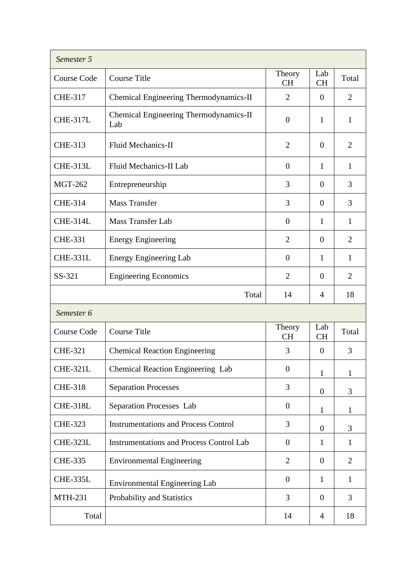| Semester 5         |                                                 |                     |                  |                |
|--------------------|-------------------------------------------------|---------------------|------------------|----------------|
| <b>Course Code</b> | <b>Course Title</b>                             | Theory<br><b>CH</b> | Lab<br><b>CH</b> | Total          |
| <b>CHE-317</b>     | Chemical Engineering Thermodynamics-II          | $\overline{2}$      | $\overline{0}$   | $\overline{2}$ |
| <b>CHE-317L</b>    | Chemical Engineering Thermodynamics-II<br>Lab   | $\overline{0}$      | 1                | 1              |
| <b>CHE-313</b>     | <b>Fluid Mechanics-II</b>                       | $\overline{2}$      | $\theta$         | $\overline{2}$ |
| <b>CHE-313L</b>    | Fluid Mechanics-II Lab                          | $\boldsymbol{0}$    | 1                | $\mathbf{1}$   |
| <b>MGT-262</b>     | Entrepreneurship                                | 3                   | $\overline{0}$   | 3              |
| <b>CHE-314</b>     | <b>Mass Transfer</b>                            | 3                   | $\Omega$         | 3              |
| <b>CHE-314L</b>    | <b>Mass Transfer Lab</b>                        | $\boldsymbol{0}$    | 1                | 1              |
| <b>CHE-331</b>     | <b>Energy Engineering</b>                       | $\overline{2}$      | $\overline{0}$   | $\overline{2}$ |
| <b>CHE-331L</b>    | <b>Energy Engineering Lab</b>                   | $\overline{0}$      | 1                | 1              |
| SS-321             | <b>Engineering Economics</b>                    | $\overline{2}$      | $\overline{0}$   | 2              |
|                    | Total                                           | 14                  | $\overline{4}$   | 18             |
| Semester 6         |                                                 |                     |                  |                |
| <b>Course Code</b> | <b>Course Title</b>                             | Theory<br><b>CH</b> | Lab<br><b>CH</b> | Total          |
| <b>CHE-321</b>     | <b>Chemical Reaction Engineering</b>            | 3                   | $\overline{0}$   | 3              |
| <b>CHE-321L</b>    | Chemical Reaction Engineering Lab               | $\boldsymbol{0}$    | 1                | 1              |
| <b>CHE-318</b>     | <b>Separation Processes</b>                     | 3                   | $\boldsymbol{0}$ | 3              |
| <b>CHE-318L</b>    | Separation Processes Lab                        | $\boldsymbol{0}$    | 1                | 1              |
| <b>CHE-323</b>     | <b>Instrumentations and Process Control</b>     | 3                   | $\boldsymbol{0}$ | 3              |
| <b>CHE-323L</b>    | <b>Instrumentations and Process Control Lab</b> | $\boldsymbol{0}$    | 1                | $\mathbf{1}$   |
| <b>CHE-335</b>     | <b>Environmental Engineering</b>                | $\overline{2}$      | $\boldsymbol{0}$ | $\overline{2}$ |
| <b>CHE-335L</b>    | Environmental Engineering Lab                   | $\boldsymbol{0}$    | 1                | 1              |
| <b>MTH-231</b>     | Probability and Statistics                      | 3                   | $\overline{0}$   | 3              |
| Total              |                                                 | 14                  | 4                | 18             |